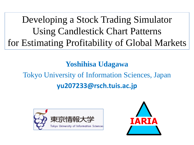Developing a Stock Trading Simulator Using Candlestick Chart Patterns for Estimating Profitability of Global Markets

**Yoshihisa Udagawa**

### Tokyo University of Information Sciences, Japan **yu207233@rsch.tuis.ac.jp**



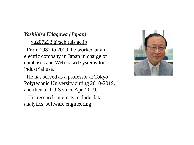#### *Yoshihisa Udagawa (Japan)*

yu207233@rsch.tuis.ac.jp

From 1982 to 2010, he worked at an electric company in Japan in charge of databases and Web-based systems for industrial use.

He has served as a professor at Tokyo Polytechnic University during 2010-2019, and then at TUIS since Apr. 2019.

His research interests include data analytics, software engineering.

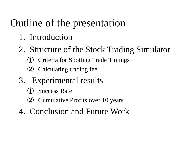## Outline of the presentation

- 1. Introduction
- 2. Structure of the Stock Trading Simulator
	- ① Criteria for Spotting Trade Timings
	- ② Calculating trading fee
- 3. Experimental results
	- **Success Rate**
	- ② Cumulative Profits over 10 years
- 4. Conclusion and Future Work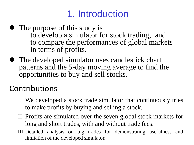### 1. Introduction

- The purpose of this study is to develop a simulator for stock trading, and to compare the performances of global markets in terms of profits.
- ⚫ The developed simulator uses candlestick chart patterns and the 5-day moving average to find the opportunities to buy and sell stocks.

#### Contributions

- I. We developed a stock trade simulator that continuously tries to make profits by buying and selling a stock.
- II. Profits are simulated over the seven global stock markets for long and short trades, with and without trade fees.
- III.Detailed analysis on big trades for demonstrating usefulness and limitation of the developed simulator.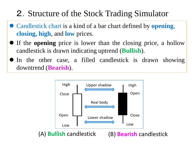### 2.Structure of the Stock Trading Simulator

- ⚫ Candlestick chart is a kind of a bar chart defined by **opening**, **closing, high**, and **low** prices.
- ⚫ If the **opening** price is lower than the closing price, a hollow candlestick is drawn indicating uptrend (**Bullish**).
- In the other case, a filled candlestick is drawn showing downtrend (**Bearish**).

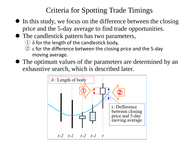#### Criteria for Spotting Trade Timings

- ⚫ In this study, we focus on the difference between the closing price and the 5-day average to find trade opportunities.
- ⚫ The candlestick pattern has two parameters,
	- $\left( \frac{1}{2} \right)$   $\delta$  for the length of the candlestick body,
	- $(2)$  ε for the difference between the closing price and the 5-day moving average.
- ⚫ The optimum values of the parameters are determined by an exhaustive search, which is described later.

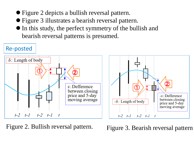- ⚫ Figure 2 depicts a bullish reversal pattern.
- ⚫ Figure 3 illustrates a bearish reversal pattern.
- ⚫ In this study, the perfect symmetry of the bullish and bearish reversal patterns is presumed.



Figure 2. Bullish reversal pattern. Figure 3. Bearish reversal pattern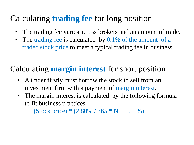#### Calculating **trading fee** for long position

- The trading fee varies across brokers and an amount of trade.
- The trading fee is calculated by 0.1% of the amount of a traded stock price to meet a typical trading fee in business.

#### Calculating **margin interest** for short position

- A trader firstly must borrow the stock to sell from an investment firm with a payment of margin interest.
- The margin interest is calculated by the following formula to fit business practices.

(Stock price) \*  $(2.80\% / 365 * N + 1.15\%)$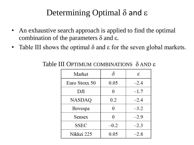### Determining Optimal  $\delta$  and  $\epsilon$

- An exhaustive search approach is applied to find the optimal combination of the parameters  $δ$  and  $ε$ .
- Table III shows the optimal  $\delta$  and  $\varepsilon$  for the seven global markets.

| Market        | δ      | ε      |
|---------------|--------|--------|
| Euro Stoxx 50 | 0.05   | $-2.4$ |
| DJI           | 0      | $-1.7$ |
| <b>NASDAQ</b> | 0.2    | $-2.4$ |
| Bovespa       | 0      | $-3.2$ |
| Sensex        | 0      | $-2.9$ |
| <b>SSEC</b>   | $-0.2$ | $-2.3$ |
| Nikkei 225    | 0.05   | $-2.8$ |

Table III OPTIMUM COMBINATIONS δ AND ε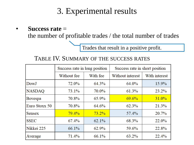#### 3. Experimental results

• **Success rate** = the number of profitable trades / the total number of trades

Trades that result in a positive profit.

#### TABLE IV. SUMMARY OF THE SUCCESS RATES

|               | Success rate in long position |          | Success rate in short position |               |
|---------------|-------------------------------|----------|--------------------------------|---------------|
|               | Without fee                   | With fee | Without interest               | With interest |
| DowJ          | 72.0%                         | 64.3%    | 64.0%                          | 15.9%         |
| <b>NASDAQ</b> | 73.1%                         | 70.0%    | 61.3%                          | 23.2%         |
| Bovespa       | 70.8%                         | 65.9%    | 69.6%                          | 31.0%         |
| Euro Stoxx 50 | 70.8%                         | 64.6%    | 62.3%                          | 21.3%         |
| Sensex        | $79.4\%$                      | $73.2\%$ | 57.4%                          | 20.7%         |
| <b>SSEC</b>   | $67.4\%$                      | 62.1%    | 68.3%                          | 22.0%         |
| Nikkei 225    | 66.1%                         | 62.9%    | 59.6%                          | 22.8%         |
| Average       | 71.4%                         | 66.1%    | 63.2%                          | 22.4%         |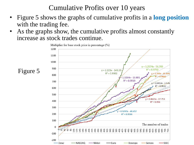Cumulative Profits over 10 years

- Figure 5 shows the graphs of cumulative profits in a **long position** with the trading fee.
- As the graphs show, the cumulative profits almost constantly increase as stock trades continue.

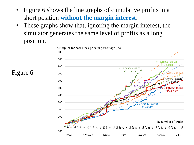- Figure 6 shows the line graphs of cumulative profits in a short position **without the margin interest**.
- These graphs show that, ignoring the margin interest, the simulator generates the same level of profits as a long position.



Figure 6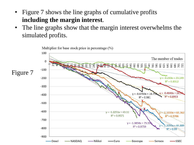- Figure 7 shows the line graphs of cumulative profits **including the margin interest**.
- The line graphs show that the margin interest overwhelms the simulated profits.

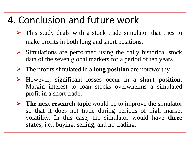### 4. Conclusion and future work

- $\triangleright$  This study deals with a stock trade simulator that tries to make profits in both long and short positions.
- $\triangleright$  Simulations are performed using the daily historical stock data of the seven global markets for a period of ten years.
- ➢ The profits simulated in a **long position** are noteworthy.
- ➢ However, significant losses occur in a **short position.** Margin interest to loan stocks overwhelms a simulated profit in a short trade.
- ➢ **The next research topic** would be to improve the simulator so that it does not trade during periods of high market volatility. In this case, the simulator would have **three states**, i.e., buying, selling, and no trading.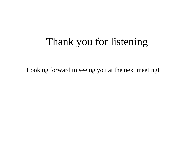## Thank you for listening

Looking forward to seeing you at the next meeting!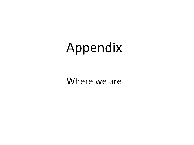# Appendix

Where we are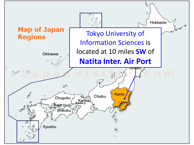